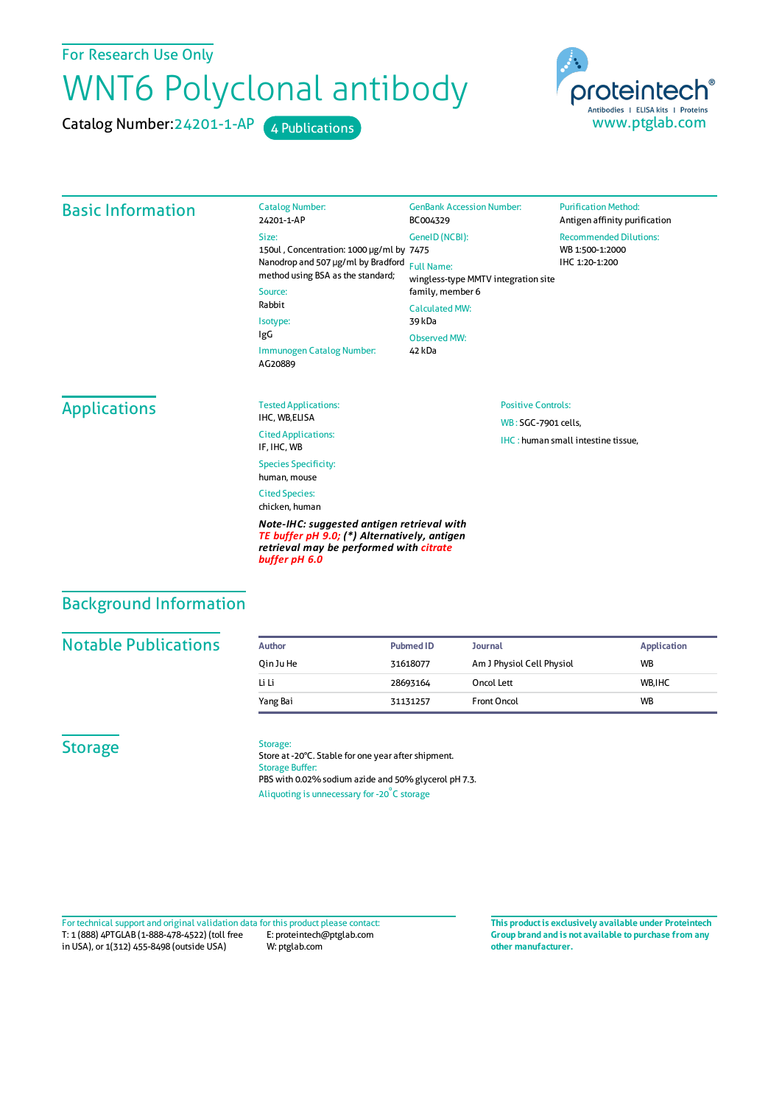### For Research Use Only

# WNT6 Polyclonal antibody

Catalog Number: 24201-1-AP 4 Publications



#### Basic Information Catalog Number: 24201-1-AP Size: 150ul , Concentration: 1000 μg/ml by 7475 Nanodrop and 507 μg/ml by Bradford Full Name: method using BSA as the standard; Source: Rabbit Isotype: IgG Immunogen Catalog Number: AG20889 GenBank Accession Number: BC004329 GeneID(NCBI): wingless-type MMTV integration site family, member 6 CalculatedMW: 39 kDa Observed MW: 42 kDa **Purification Method:** Antigen affinity purification Recommended Dilutions: WB 1:500-1:2000 IHC 1:20-1:200 Applications Tested Applications: IHC, WB,ELISA Cited Applications: IF, IHC, WB Species Specificity: human, mouse Cited Species: chicken, human *Note-IHC: suggested antigen retrieval with TE buffer pH 9.0; (\*) Alternatively, antigen retrieval may be performed with citrate* Positive Controls: WB : SGC-7901 cells, IHC : human small intestine tissue,

### Background Information

#### **Notable Publications**

| Author    | <b>Pubmed ID</b> | <b>Journal</b>            | Application |
|-----------|------------------|---------------------------|-------------|
| Oin Ju He | 31618077         | Am J Physiol Cell Physiol | <b>WB</b>   |
| Li Li     | 28693164         | Oncol Lett                | WB.IHC      |
| Yang Bai  | 31131257         | Front Oncol               | <b>WB</b>   |

#### **Storage**

#### Storage:

*buffer pH 6.0*

Store at -20°C. Stable for one year after shipment. Storage Buffer: PBS with 0.02% sodium azide and 50% glycerol pH 7.3. Aliquoting is unnecessary for -20<sup>°</sup>C storage

T: 1 (888) 4PTGLAB (1-888-478-4522) (toll free in USA), or 1(312) 455-8498 (outside USA) E: proteintech@ptglab.com W: ptglab.com Fortechnical support and original validation data forthis product please contact: **This productis exclusively available under Proteintech**

**Group brand and is not available to purchase from any other manufacturer.**